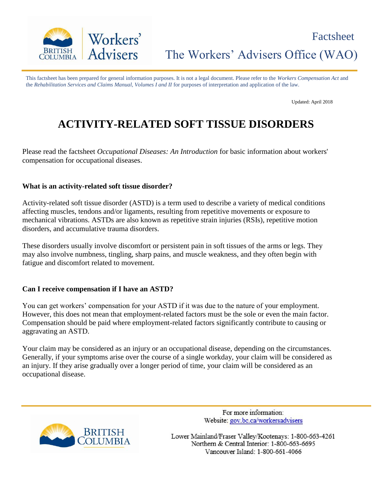

The Workers' Advisers Office (WAO)

This factsheet has been prepared for general information purposes. It is not a legal document. Please refer to the *Workers Compensation Act* and the *Rehabilitation Services and Claims Manual, Volumes I and II* for purposes of interpretation and application of the law.

Updated: April 2018

# **ACTIVITY-RELATED SOFT TISSUE DISORDERS**

Please read the factsheet *Occupational Diseases: An Introduction* for basic information about workers' compensation for occupational diseases.

#### **What is an activity-related soft tissue disorder?**

Activity-related soft tissue disorder (ASTD) is a term used to describe a variety of medical conditions affecting muscles, tendons and/or ligaments, resulting from repetitive movements or exposure to mechanical vibrations. ASTDs are also known as repetitive strain injuries (RSIs), repetitive motion disorders, and accumulative trauma disorders.

These disorders usually involve discomfort or persistent pain in soft tissues of the arms or legs. They may also involve numbness, tingling, sharp pains, and muscle weakness, and they often begin with fatigue and discomfort related to movement.

#### **Can I receive compensation if I have an ASTD?**

You can get workers' compensation for your ASTD if it was due to the nature of your employment. However, this does not mean that employment-related factors must be the sole or even the main factor. Compensation should be paid where employment-related factors significantly contribute to causing or aggravating an ASTD.

Your claim may be considered as an injury or an occupational disease, depending on the circumstances. Generally, if your symptoms arise over the course of a single workday, your claim will be considered as an injury. If they arise gradually over a longer period of time, your claim will be considered as an occupational disease.



For more information: Website: gov.bc.ca/workersadvisers

Lower Mainland/Fraser Valley/Kootenays: 1-800-663-4261 Northern & Central Interior: 1-800-663-6695 Vancouver Island: 1-800-661-4066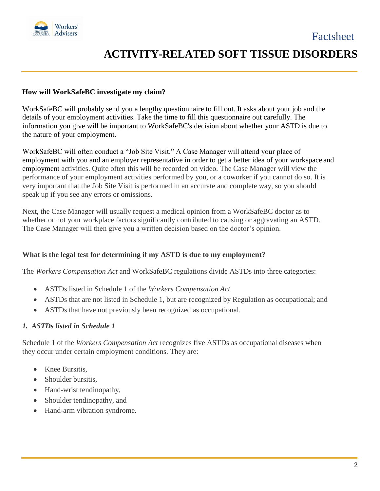

### **How will WorkSafeBC investigate my claim?**

WorkSafeBC will probably send you a lengthy questionnaire to fill out. It asks about your job and the details of your employment activities. Take the time to fill this questionnaire out carefully. The information you give will be important to WorkSafeBC's decision about whether your ASTD is due to the nature of your employment.

WorkSafeBC will often conduct a "Job Site Visit." A Case Manager will attend your place of employment with you and an employer representative in order to get a better idea of your workspace and employment activities. Quite often this will be recorded on video. The Case Manager will view the performance of your employment activities performed by you, or a coworker if you cannot do so. It is very important that the Job Site Visit is performed in an accurate and complete way, so you should speak up if you see any errors or omissions.

Next, the Case Manager will usually request a medical opinion from a WorkSafeBC doctor as to whether or not your workplace factors significantly contributed to causing or aggravating an ASTD. The Case Manager will then give you a written decision based on the doctor's opinion.

#### **What is the legal test for determining if my ASTD is due to my employment?**

The *Workers Compensation Act* and WorkSafeBC regulations divide ASTDs into three categories:

- ASTDs listed in Schedule 1 of the *Workers Compensation Act*
- ASTDs that are not listed in Schedule 1, but are recognized by Regulation as occupational; and
- ASTDs that have not previously been recognized as occupational.

#### *1. ASTDs listed in Schedule 1*

Schedule 1 of the *Workers Compensation Act* recognizes five ASTDs as occupational diseases when they occur under certain employment conditions. They are:

- Knee Bursitis.
- Shoulder bursitis,
- Hand-wrist tendinopathy,
- Shoulder tendinopathy, and
- Hand-arm vibration syndrome.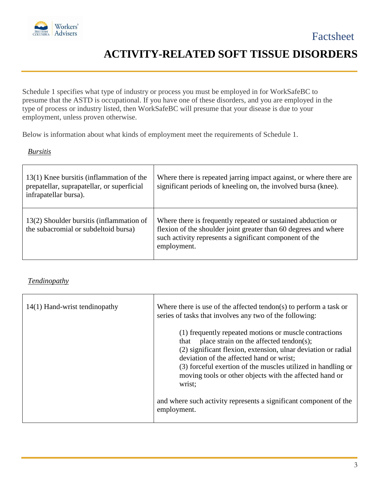

Schedule 1 specifies what type of industry or process you must be employed in for WorkSafeBC to presume that the ASTD is occupational. If you have one of these disorders, and you are employed in the type of process or industry listed, then WorkSafeBC will presume that your disease is due to your employment, unless proven otherwise.

Below is information about what kinds of employment meet the requirements of Schedule 1.

# *Bursitis*

| 13(1) Knee bursitis (inflammation of the<br>prepatellar, suprapatellar, or superficial<br>infrapatellar bursa). | Where there is repeated jarring impact against, or where there are<br>significant periods of kneeling on, the involved bursa (knee).                                                                      |
|-----------------------------------------------------------------------------------------------------------------|-----------------------------------------------------------------------------------------------------------------------------------------------------------------------------------------------------------|
| 13(2) Shoulder bursitis (inflammation of<br>the subacromial or subdeltoid bursa)                                | Where there is frequently repeated or sustained abduction or<br>flexion of the shoulder joint greater than 60 degrees and where<br>such activity represents a significant component of the<br>employment. |

# *Tendinopathy*

| $14(1)$ Hand-wrist tendinopathy | Where there is use of the affected tendon(s) to perform a task or<br>series of tasks that involves any two of the following:                                                                                                                                                                                                                                |
|---------------------------------|-------------------------------------------------------------------------------------------------------------------------------------------------------------------------------------------------------------------------------------------------------------------------------------------------------------------------------------------------------------|
|                                 | (1) frequently repeated motions or muscle contractions<br>place strain on the affected tendon(s);<br>that<br>(2) significant flexion, extension, ulnar deviation or radial<br>deviation of the affected hand or wrist;<br>(3) forceful exertion of the muscles utilized in handling or<br>moving tools or other objects with the affected hand or<br>wrist; |
|                                 | and where such activity represents a significant component of the<br>employment.                                                                                                                                                                                                                                                                            |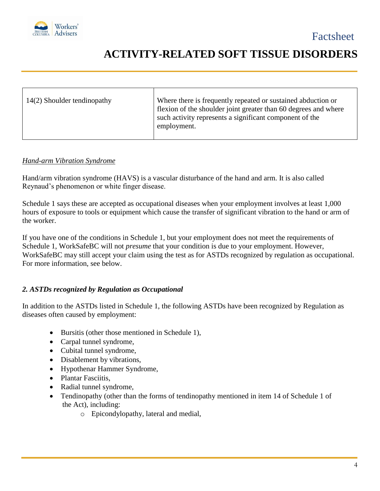

| Where there is frequently repeated or sustained abduction or<br>14(2) Shoulder tendinopathy<br>flexion of the shoulder joint greater than 60 degrees and where<br>such activity represents a significant component of the<br>employment. |
|------------------------------------------------------------------------------------------------------------------------------------------------------------------------------------------------------------------------------------------|
|------------------------------------------------------------------------------------------------------------------------------------------------------------------------------------------------------------------------------------------|

#### *Hand-arm Vibration Syndrome*

Hand/arm vibration syndrome (HAVS) is a vascular disturbance of the hand and arm. It is also called Reynaud's phenomenon or white finger disease.

Schedule 1 says these are accepted as occupational diseases when your employment involves at least 1,000 hours of exposure to tools or equipment which cause the transfer of significant vibration to the hand or arm of the worker.

If you have one of the conditions in Schedule 1, but your employment does not meet the requirements of Schedule 1, WorkSafeBC will not *presume* that your condition is due to your employment. However, WorkSafeBC may still accept your claim using the test as for ASTDs recognized by regulation as occupational. For more information, see below.

# *2. ASTDs recognized by Regulation as Occupational*

In addition to the ASTDs listed in Schedule 1, the following ASTDs have been recognized by Regulation as diseases often caused by employment:

- Bursitis (other those mentioned in Schedule 1),
- Carpal tunnel syndrome,
- Cubital tunnel syndrome,
- Disablement by vibrations,
- Hypothenar Hammer Syndrome,
- Plantar Fasciitis.
- Radial tunnel syndrome,
- Tendinopathy (other than the forms of tendinopathy mentioned in item 14 of Schedule 1 of the Act), including:
	- o Epicondylopathy, lateral and medial,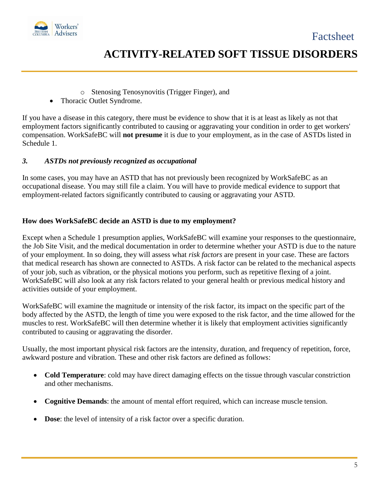



- o Stenosing Tenosynovitis (Trigger Finger), and
- Thoracic Outlet Syndrome.

If you have a disease in this category, there must be evidence to show that it is at least as likely as not that employment factors significantly contributed to causing or aggravating your condition in order to get workers' compensation. WorkSafeBC will **not presume** it is due to your employment, as in the case of ASTDs listed in Schedule 1.

### *3. ASTDs not previously recognized as occupational*

In some cases, you may have an ASTD that has not previously been recognized by WorkSafeBC as an occupational disease. You may still file a claim. You will have to provide medical evidence to support that employment-related factors significantly contributed to causing or aggravating your ASTD.

#### **How does WorkSafeBC decide an ASTD is due to my employment?**

Except when a Schedule 1 presumption applies, WorkSafeBC will examine your responses to the questionnaire, the Job Site Visit, and the medical documentation in order to determine whether your ASTD is due to the nature of your employment. In so doing, they will assess what *risk factors* are present in your case. These are factors that medical research has shown are connected to ASTDs. A risk factor can be related to the mechanical aspects of your job, such as vibration, or the physical motions you perform, such as repetitive flexing of a joint. WorkSafeBC will also look at any risk factors related to your general health or previous medical history and activities outside of your employment.

WorkSafeBC will examine the magnitude or intensity of the risk factor, its impact on the specific part of the body affected by the ASTD, the length of time you were exposed to the risk factor, and the time allowed for the muscles to rest. WorkSafeBC will then determine whether it is likely that employment activities significantly contributed to causing or aggravating the disorder.

Usually, the most important physical risk factors are the intensity, duration, and frequency of repetition, force, awkward posture and vibration. These and other risk factors are defined as follows:

- **Cold Temperature**: cold may have direct damaging effects on the tissue through vascular constriction and other mechanisms.
- **Cognitive Demands**: the amount of mental effort required, which can increase muscle tension.
- **Dose**: the level of intensity of a risk factor over a specific duration.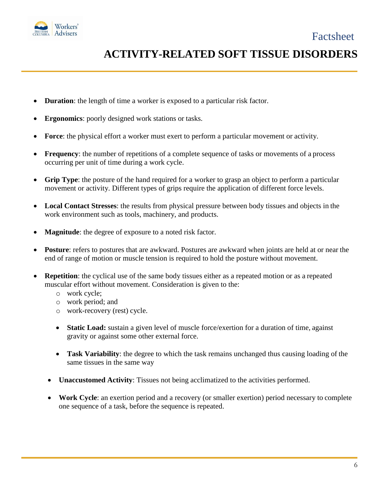



- **Duration**: the length of time a worker is exposed to a particular risk factor.
- **Ergonomics**: poorly designed work stations or tasks.
- **Force**: the physical effort a worker must exert to perform a particular movement or activity.
- **Frequency**: the number of repetitions of a complete sequence of tasks or movements of a process occurring per unit of time during a work cycle.
- **Grip Type**: the posture of the hand required for a worker to grasp an object to perform a particular movement or activity. Different types of grips require the application of different force levels.
- **Local Contact Stresses**: the results from physical pressure between body tissues and objects in the work environment such as tools, machinery, and products.
- **Magnitude**: the degree of exposure to a noted risk factor.
- **Posture**: refers to postures that are awkward. Postures are awkward when joints are held at or near the end of range of motion or muscle tension is required to hold the posture without movement.
- **Repetition**: the cyclical use of the same body tissues either as a repeated motion or as a repeated muscular effort without movement. Consideration is given to the:
	- o work cycle;
	- o work period; and
	- o work-recovery (rest) cycle.
	- **Static Load:** sustain a given level of muscle force/exertion for a duration of time, against gravity or against some other external force.
	- **Task Variability**: the degree to which the task remains unchanged thus causing loading of the same tissues in the same way
	- **Unaccustomed Activity**: Tissues not being acclimatized to the activities performed.
	- **Work Cycle**: an exertion period and a recovery (or smaller exertion) period necessary to complete one sequence of a task, before the sequence is repeated.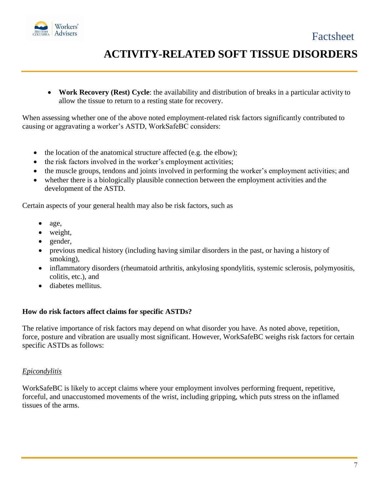

 **Work Recovery (Rest) Cycle**: the availability and distribution of breaks in a particular activity to allow the tissue to return to a resting state for recovery.

When assessing whether one of the above noted employment-related risk factors significantly contributed to causing or aggravating a worker's ASTD, WorkSafeBC considers:

- the location of the anatomical structure affected (e.g. the elbow);
- the risk factors involved in the worker's employment activities;
- the muscle groups, tendons and joints involved in performing the worker's employment activities; and
- whether there is a biologically plausible connection between the employment activities and the development of the ASTD.

Certain aspects of your general health may also be risk factors, such as

- age,
- weight,
- gender,
- previous medical history (including having similar disorders in the past, or having a history of smoking),
- inflammatory disorders (rheumatoid arthritis, ankylosing spondylitis, systemic sclerosis, polymyositis, colitis, etc.), and
- diabetes mellitus.

#### **How do risk factors affect claims for specific ASTDs?**

The relative importance of risk factors may depend on what disorder you have. As noted above, repetition, force, posture and vibration are usually most significant. However, WorkSafeBC weighs risk factors for certain specific ASTDs as follows:

# *Epicondylitis*

WorkSafeBC is likely to accept claims where your employment involves performing frequent, repetitive, forceful, and unaccustomed movements of the wrist, including gripping, which puts stress on the inflamed tissues of the arms.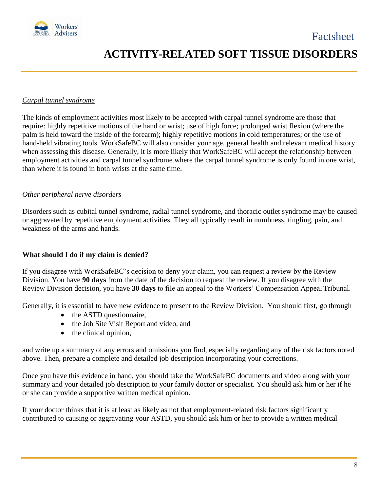

### *Carpal tunnel syndrome*

The kinds of employment activities most likely to be accepted with carpal tunnel syndrome are those that require: highly repetitive motions of the hand or wrist; use of high force; prolonged wrist flexion (where the palm is held toward the inside of the forearm); highly repetitive motions in cold temperatures; or the use of hand-held vibrating tools. WorkSafeBC will also consider your age, general health and relevant medical history when assessing this disease. Generally, it is more likely that WorkSafeBC will accept the relationship between employment activities and carpal tunnel syndrome where the carpal tunnel syndrome is only found in one wrist, than where it is found in both wrists at the same time.

### *Other peripheral nerve disorders*

Disorders such as cubital tunnel syndrome, radial tunnel syndrome, and thoracic outlet syndrome may be caused or aggravated by repetitive employment activities. They all typically result in numbness, tingling, pain, and weakness of the arms and hands.

#### **What should I do if my claim is denied?**

If you disagree with WorkSafeBC's decision to deny your claim, you can request a review by the Review Division. You have **90 days** from the date of the decision to request the review. If you disagree with the Review Division decision, you have **30 days** to file an appeal to the Workers' Compensation Appeal Tribunal.

Generally, it is essential to have new evidence to present to the Review Division. You should first, go through

- the ASTD questionnaire,
- the Job Site Visit Report and video, and
- the clinical opinion,

and write up a summary of any errors and omissions you find, especially regarding any of the risk factors noted above. Then, prepare a complete and detailed job description incorporating your corrections.

Once you have this evidence in hand, you should take the WorkSafeBC documents and video along with your summary and your detailed job description to your family doctor or specialist. You should ask him or her if he or she can provide a supportive written medical opinion.

If your doctor thinks that it is at least as likely as not that employment-related risk factors significantly contributed to causing or aggravating your ASTD, you should ask him or her to provide a written medical